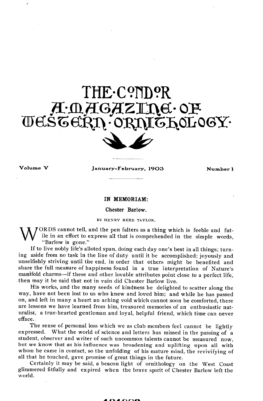# THE.C?ND?R A.MAGAZINE.OF WESGERD ORDIGLOGY

**Volume V January-February. 1903 Number 1** 

### **IN MEMORIAM:**

**Chester Barlow.** 

## **BY HEXRY REED TAYLOR.**

W ORDS cannot tell, and the pen falters as a thing which is feeble and fut-<br>ile in an effort to express all that is comprehended in the simple words,<br>"Barlow is gone" **ile in an effort to express all that is comprehended in the simple words, "Barlow is gone."** 

**If to live nobly life's alloted span, doing each day one's best in all things; turning aside from no task in the line of duty until it be accomplished; joyously and unselfishly striving until the end, in order that others might be benefited and share the full measure of happiness found in a true interpretation of Nature's manifold charms-if these and other lovable attributes point close to a perfect life, then may it be said that not in vain did Chester Barlow live.** 

**His works, and the many seeds of kindness he delighted to scatter along the way, have not been lost to us who knew and loved him; and while he has passed on, and left in many a heart an aching void which cannot soon be comforted, there are lessons we have learned from him, treasured memories of an enthusiastic naturalist, a true-hearted gentleman and loyal, helpful friend, which time can never efface..** 

**The sense of personal loss which we as club members feel cannot be lightly expressed. What the world of science and letters has missed in the passing of a student, observer and writer of such uncommon talents cannot be measured now, but we know that as his influence was broadening and uplifting upon all with whom he came in contact, so the unfolding of his mature mind, the revivifying of all that he touched, gave promise of great things in the future.** 

**Certainly it may be said, a beacon light of ornithology on the West Coast glimmered fitfully and expired when the brave spirit of Chester Barlow left the world.**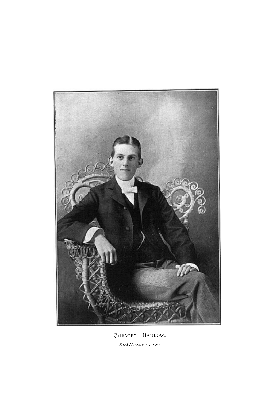

## CHESTER BARLOW.

Died November 9, 1902.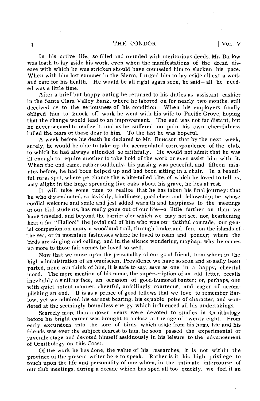**In his active life, SO filled and rounded with meritorious deeds, Mr. Barlow was loath to lay aside his work, even when the manifestations of the dread disease with which he was stricken should have counseled him to slacken his pace. When with him last summer in the Sierra, I urged him to lay aside all extra work**  and care for his health. He would be all right again soon, he said—all he need**ed was a little time.** 

**After a brief but happy outing he returned to his duties as assistant cashier in the Santa Clara Valley Bank. where he labored on for nearly two months, still deceived as to the seriousness of his condition. When his employers finally obliged him to knock off work he went with his wife to Pacific Grove, hoping that the change w.ould lead to an improvement. The end was not far distant, but he never seemed to realize it, and as he suffered no pain his own cheerfulness lulled the fears of those dear to him. To the last he was hopeful.** 

**A week before his death he declared to Mr. Emerson that by the next week, surely, he would be able to take up the accumulated correspondence of the club, to which he had always attended so faithfully. He would not admit that he was ill enough to require another to take hold of the work or even assist him with it.**  When the end came, rather suddenly, his passing was peaceful, and fifteen min**utes before, he had been helped up and had been sitting in a chair. In a beautiful rural spot, where perchance the white-tailed kite, of which he loved to tell us, may alight in the huge spreading live oaks about his grave, he lies at rest.** 

**It will take some time to realize that he has taken his final journey: that he who disseminated, so lavishly, kindliness, good cheer and fellowship; he whose cordial welcome and smile and jest added warmth and happiness to the meetings of our bird students, has really gone out of our life-a little farther on than we**  have traveled, and beyond the barrier o'er which we may not see, nor, hearkening **hear a far "Halloo!" the jovial call of him who was our faithful comrade, our genial companion on many a woodland trail, through brake and fen, on the islands of the sea, or in mountain fastnesses where he loved to roam and ponder; where the birds are singing and calling, and in the silence wondering, mayhap, why he comes no more to those fair scenes he loved so well.** 

**Now that we muse upon the personality of our good friend, tram whom in the high administration of an omniscient Providence we have so soon and so sadly been parted, none can think of him, it is safe to say, save as one in a happy, cheerful mood. The mere mention of his name, the superscription of an old letter, recalls inevitably a smiling face, an occasion of good-humored banter; or, perhaps, one with quiet, intent manner, cheerful, unfailingly courteous, and eager of accom**plishing an end. It is as a prince of good fellows that we love to remember Bar**low, yet we admired his earnest bearing, his equable poise of character, and wondered at the seemingly boundless energy which influenced all his undertakings.** 

**Scarcely more than a dozen years were devoted to studies in Ornithology before his bright career was brought to a close at the age of twenty-eight. From early excursions into the lore of birds, which aside from his home life and his friends was ever the subject dearest to him, he soon passed the experimental or juvenile stage and devoted himself assiduously in his leisure to the advancement of Ornithology on this Coast.** 

**Of the work he has done, the value of his researches, it is not within the province of the present writer here to speak. Rather is it his high privilege to touch upon the life and personality of one whom, in the intimate intercourse of our club meetings, during a decade which has sped all too quickly, we feel it an**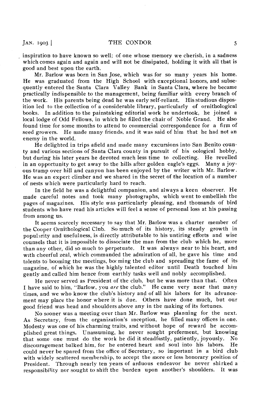**inspiration to have known so well; of one whose memory we cherish, in a sadness which comes again and again and will not be dissipated, holding it with all that is good and best upon the earth.** 

**Mr. Barlow was born in San Jose, which was for so many years his home. He was graduated from the High School with exceptional honors, and subsequently entered the Santa Clara Valley Bank in Santa Clara, where he became practically indispensible to the management, being familiar with every branch of**  the work. His parents being dead he was early self-reliant. His studious dispos**ition led to the collection of a considerable library, particularly of ornithological books. In addition to the painstaking editorial work he undertook, he joined a local lodge of Odd Fellows, in which he filled the chair of Noble Grand. He also found time for some months to attend to commercial correspondence for a firm of seed growers. He made many friends, and it was said of him that he had not an enemy in the world.** 

**He delighted in trips afield and made many excursions into San Benito county and various sections of Santa Clara county in pursuit of his oological hobby, but during his later years he devoted much less time to collecting. He revelled in an opportunity to get away to the hills after golden eagle's eggs. Many a joyous tramp over hill and canyon has been enjoyed by the writer with Mr. Barlow. He was an expert climber and we shared in the secret of the location of a number of nests which were particularly hard to reach.** 

**In the field he was a delightful companion, and always a keen observer. He made careful notes and took many photographs, which went to embellish the pages of magazines. His style was particularly pleasing, and thousands of bird students who have read his articles will feel a sense of personal loss at his passing from among us.** 

**It seems scarcely necessary to say that Mr. Barlow was a charter member of the Cooper Ornithological Club. So much of its history, its steady growth in**  popularity and usefulness, is directly attributable to his untiring efforts and wise **counsels that it is impossible to dissociate the man from the club which he, more than any other, did so much to perpetuate. It was always near to his heart, and with cheerful zeal, which commanded the admiration of all, he gave his time and talents to' booming the meetings, booming the club and spreading the fame of its magazine, of which he was the highly talented editor until Death touched him gently and called him hence from earthly tasks well and nobly accomplished.** 

**He never served as President of the club, but he was more than that.. Often**  I have said to him, "Barlow, you are the club." He came very near that many **times, and we who know the club's history and of all his labors for its advancement may place the honor where it is due. Others have done much, but our good friend was head and shoulders above any in the making of its fortunes.** 

**No sooner was a meeting over than Mr. Barlow was planning for the next. As Secretary, from the organization's inception, he filled many offices in one. Modesty was one of his charming traits, and without hope of reward he accomplished great things. Unassuming, he never sought preferment, but knowing that some one must do the work he did it steadfastly, patiently, joyously. No discouragement balked him, for he entered heart and soul into his labors. He could never be spared from the oflice of Secretary, SO important in a bird club with widely scattered membership, to accept the more or less honorary position of President. Through nearly ten years of arduous endeavor he never shirked a responsibility nor sought to shift the burden upon another's shoulders. It was**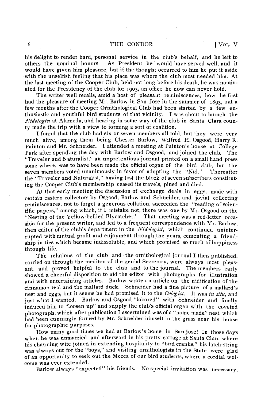**his delight to render hard, personal service in the club's behalf, and he left to others the nominal honors. As President he' would have served well, and it would have given him pleasure, but if the thought occurred to him he put-it aside .with the unselfish feeling that his place was where the club most needed him. At the last meeting of the Cooper Club, held not long before his death, he was nominated for the Presidency of the club for 1903, an office he now can never hold.** 

**The writer well recalls, amid a host of pleasant reminiscences, how he first had the pleasure of meeting Mr. Barlow in San Jose in the summer of 1893, but a few months after the Cooper Ornithological Club had been started by a few enthusiastic and youthful bird students of that vicinity. I was about to launch the Nidologist at Alameda, and hearing in some way of the club in Santa Clara county made the trip with a view to forming a sort of coalition.** 

**I found that the club had six or seven members all told, but they were very much alive, among them being Chester Barlow, Wilfred H. Osgood, Harry R. Painton and Mr. Schneider. I attended a meeting at Painton's house at College Park after spending the day with Barlow and Osgood, and joined the club. The "Traveler and Naturalist," an unpretentious journal printed on a small hand press some where, was to have been made the official organ of the bird club, but the seven members voted unanimously in favor of adopting the "Nid." Thereafter the "Traveler and Naturalist," having lost the block of seven subscribers constituting the Cooper Club's membership ceased its travels, pined and died.** 

**At that early meeting the discussion of exchange deals in eggs, made with certain eastern collectors by Osgood, Barlow and Schneider, and jovial collecting reminiscences, not to forget a generous collation, succeeded the "reading of scientific papers," among which, if I mistake not, there was one by Mr. Osgood on the "Nesting of the Yellow-bellied Flycatcher." That meeting was a red-letter occasion for the present writer, and led to a frequent correspondence with Mr. Barlow,**  then editor of the club's department in the *Nidologist*, which continued uninter**rupted with mutual profit and enjoyment through the years, cementing a friendship in ties which became indissoluble, and which promised so much of happiness through life.** 

The relations of the club and the ornithological journal I then published, **carried on through the medium of the genial Secretary, were always most pleasant, and proved helpful to the club and to the journal. The members early showed a cheerful disposition to aid the editor with photographs for illustration and with entertaining articles. Barlow wrote an article on the nidification of the cinnamon teal and the mallard duck. Schneider had a fine picture of a mallard's**  nest and eggs, but it seems he had promised it to the *Oologist*. It was in situ, and **just what I wanted. Barlow and Osgood "labored" with Schneider and finally induced him to "loosen UP" and supply the club's official organ with the coveted photograph, which after publication I ascertained was of a "home made" nest, which had been cunningly formed by Mr. Schneider himself in the grass near his house for photographic purposes.** 

**How many good times we had at Barlow's home in San Jose! In those days when he was unmarried, and afterward in his pretty cottage at Santa Clara where his charming wife joined in extending hospitality to "bird cranks," his latch-string was always out for the "boys," and visiting ornithologists in the State were glad of an opportunity to seek out the Mecca of our bird students, where a cordial welcome was ever extended.** 

**Barlow always "expected" his friends. No special invitation was necessary.**